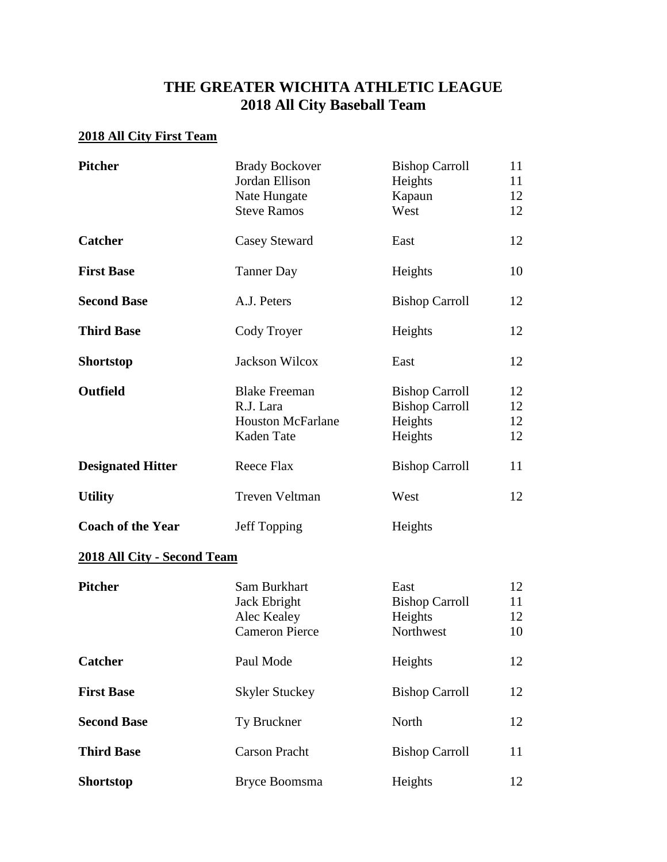## **THE GREATER WICHITA ATHLETIC LEAGUE 2018 All City Baseball Team**

## **2018 All City First Team**

| <b>Pitcher</b>                     | <b>Brady Bockover</b><br>Jordan Ellison<br>Nate Hungate<br><b>Steve Ramos</b> | <b>Bishop Carroll</b><br>Heights<br>Kapaun<br>West                   | 11<br>11<br>12<br>12 |
|------------------------------------|-------------------------------------------------------------------------------|----------------------------------------------------------------------|----------------------|
| <b>Catcher</b>                     | Casey Steward                                                                 | East                                                                 | 12                   |
| <b>First Base</b>                  | <b>Tanner Day</b>                                                             | Heights                                                              | 10                   |
| <b>Second Base</b>                 | A.J. Peters                                                                   | <b>Bishop Carroll</b>                                                | 12                   |
| <b>Third Base</b>                  | Cody Troyer                                                                   | Heights                                                              | 12                   |
| <b>Shortstop</b>                   | Jackson Wilcox                                                                | East                                                                 | 12                   |
| <b>Outfield</b>                    | <b>Blake Freeman</b><br>R.J. Lara<br><b>Houston McFarlane</b><br>Kaden Tate   | <b>Bishop Carroll</b><br><b>Bishop Carroll</b><br>Heights<br>Heights | 12<br>12<br>12<br>12 |
| <b>Designated Hitter</b>           | Reece Flax                                                                    | <b>Bishop Carroll</b>                                                | 11                   |
| <b>Utility</b>                     | Treven Veltman                                                                | West                                                                 | 12                   |
| <b>Coach of the Year</b>           | Jeff Topping                                                                  | Heights                                                              |                      |
| <b>2018 All City - Second Team</b> |                                                                               |                                                                      |                      |
| <b>Pitcher</b>                     | Sam Burkhart<br>Jack Ebright<br>Alec Kealey<br><b>Cameron Pierce</b>          | East<br><b>Bishop Carroll</b><br>Heights<br>Northwest                | 12<br>11<br>12<br>10 |
| <b>Catcher</b>                     | Paul Mode                                                                     | Heights                                                              | 12                   |
| <b>First Base</b>                  | <b>Skyler Stuckey</b>                                                         | <b>Bishop Carroll</b>                                                | 12                   |
| <b>Second Base</b>                 | Ty Bruckner                                                                   | North                                                                | 12                   |
| <b>Third Base</b>                  | <b>Carson Pracht</b>                                                          | <b>Bishop Carroll</b>                                                | 11                   |
| <b>Shortstop</b>                   | Bryce Boomsma                                                                 | Heights                                                              | 12                   |